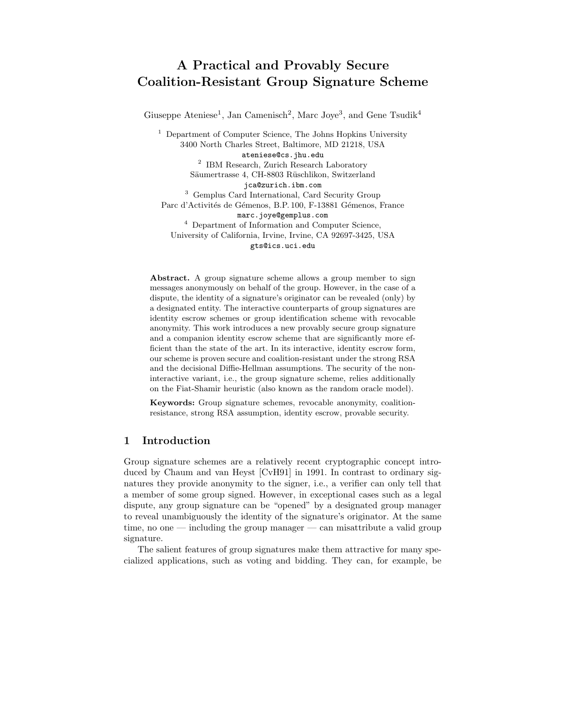# A Practical and Provably Secure Coalition-Resistant Group Signature Scheme

Giuseppe Ateniese<sup>1</sup>, Jan Camenisch<sup>2</sup>, Marc Joye<sup>3</sup>, and Gene Tsudik<sup>4</sup>

<sup>1</sup> Department of Computer Science, The Johns Hopkins University 3400 North Charles Street, Baltimore, MD 21218, USA ateniese@cs.jhu.edu <sup>2</sup> IBM Research, Zurich Research Laboratory Säumertrasse 4, CH-8803 Rüschlikon, Switzerland jca@zurich.ibm.com <sup>3</sup> Gemplus Card International, Card Security Group Parc d'Activités de Gémenos, B.P. 100, F-13881 Gémenos, France marc.joye@gemplus.com <sup>4</sup> Department of Information and Computer Science, University of California, Irvine, Irvine, CA 92697-3425, USA gts@ics.uci.edu

Abstract. A group signature scheme allows a group member to sign messages anonymously on behalf of the group. However, in the case of a dispute, the identity of a signature's originator can be revealed (only) by a designated entity. The interactive counterparts of group signatures are identity escrow schemes or group identification scheme with revocable anonymity. This work introduces a new provably secure group signature and a companion identity escrow scheme that are significantly more efficient than the state of the art. In its interactive, identity escrow form, our scheme is proven secure and coalition-resistant under the strong RSA and the decisional Diffie-Hellman assumptions. The security of the noninteractive variant, i.e., the group signature scheme, relies additionally on the Fiat-Shamir heuristic (also known as the random oracle model).

Keywords: Group signature schemes, revocable anonymity, coalitionresistance, strong RSA assumption, identity escrow, provable security.

### 1 Introduction

Group signature schemes are a relatively recent cryptographic concept introduced by Chaum and van Heyst [CvH91] in 1991. In contrast to ordinary signatures they provide anonymity to the signer, i.e., a verifier can only tell that a member of some group signed. However, in exceptional cases such as a legal dispute, any group signature can be "opened" by a designated group manager to reveal unambiguously the identity of the signature's originator. At the same time, no one — including the group manager — can misattribute a valid group signature.

The salient features of group signatures make them attractive for many specialized applications, such as voting and bidding. They can, for example, be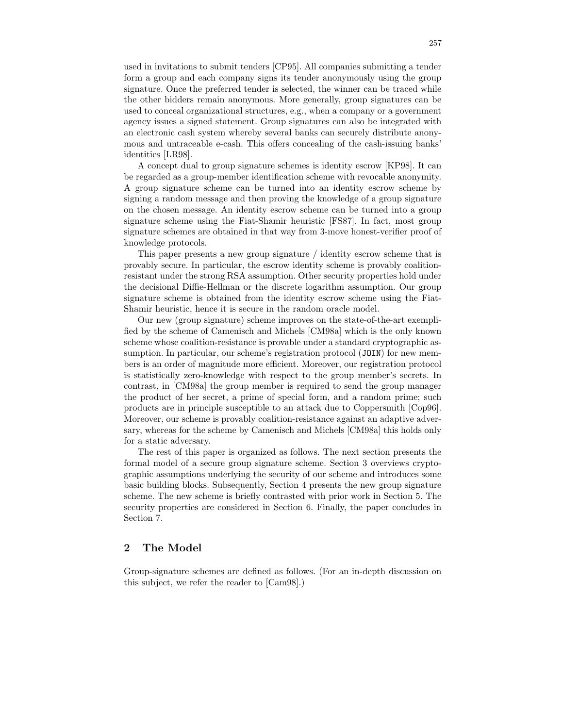used in invitations to submit tenders [CP95]. All companies submitting a tender form a group and each company signs its tender anonymously using the group signature. Once the preferred tender is selected, the winner can be traced while the other bidders remain anonymous. More generally, group signatures can be used to conceal organizational structures, e.g., when a company or a government agency issues a signed statement. Group signatures can also be integrated with an electronic cash system whereby several banks can securely distribute anonymous and untraceable e-cash. This offers concealing of the cash-issuing banks' identities [LR98].

A concept dual to group signature schemes is identity escrow [KP98]. It can be regarded as a group-member identification scheme with revocable anonymity. A group signature scheme can be turned into an identity escrow scheme by signing a random message and then proving the knowledge of a group signature on the chosen message. An identity escrow scheme can be turned into a group signature scheme using the Fiat-Shamir heuristic [FS87]. In fact, most group signature schemes are obtained in that way from 3-move honest-verifier proof of knowledge protocols.

This paper presents a new group signature / identity escrow scheme that is provably secure. In particular, the escrow identity scheme is provably coalitionresistant under the strong RSA assumption. Other security properties hold under the decisional Diffie-Hellman or the discrete logarithm assumption. Our group signature scheme is obtained from the identity escrow scheme using the Fiat-Shamir heuristic, hence it is secure in the random oracle model.

Our new (group signature) scheme improves on the state-of-the-art exemplified by the scheme of Camenisch and Michels [CM98a] which is the only known scheme whose coalition-resistance is provable under a standard cryptographic assumption. In particular, our scheme's registration protocol (JOIN) for new members is an order of magnitude more efficient. Moreover, our registration protocol is statistically zero-knowledge with respect to the group member's secrets. In contrast, in [CM98a] the group member is required to send the group manager the product of her secret, a prime of special form, and a random prime; such products are in principle susceptible to an attack due to Coppersmith [Cop96]. Moreover, our scheme is provably coalition-resistance against an adaptive adversary, whereas for the scheme by Camenisch and Michels [CM98a] this holds only for a static adversary.

The rest of this paper is organized as follows. The next section presents the formal model of a secure group signature scheme. Section 3 overviews cryptographic assumptions underlying the security of our scheme and introduces some basic building blocks. Subsequently, Section 4 presents the new group signature scheme. The new scheme is briefly contrasted with prior work in Section 5. The security properties are considered in Section 6. Finally, the paper concludes in Section 7.

# 2 The Model

Group-signature schemes are defined as follows. (For an in-depth discussion on this subject, we refer the reader to [Cam98].)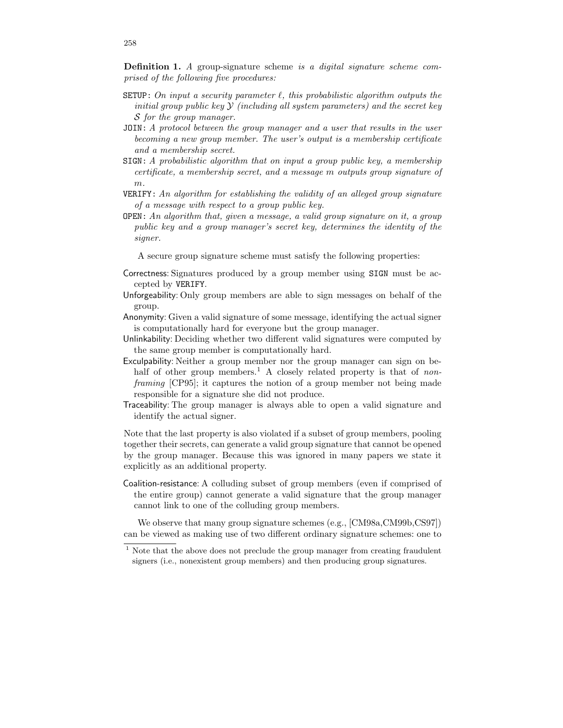- SETUP: On input a security parameter  $\ell$ , this probabilistic algorithm outputs the initial group public key  $\mathcal{Y}$  (including all system parameters) and the secret key S for the group manager.
- JOIN: A protocol between the group manager and a user that results in the user becoming a new group member. The user's output is a membership certificate and a membership secret.
- $SIGN: A probabilistic algorithm that on input a group public key, a membership$ certificate, a membership secret, and a message m outputs group signature of m.
- VERIFY: An algorithm for establishing the validity of an alleged group signature of a message with respect to a group public key.
- OPEN: An algorithm that, given a message, a valid group signature on it, a group public key and a group manager's secret key, determines the identity of the signer.
	- A secure group signature scheme must satisfy the following properties:
- Correctness: Signatures produced by a group member using SIGN must be accepted by VERIFY.
- Unforgeability: Only group members are able to sign messages on behalf of the group.
- Anonymity: Given a valid signature of some message, identifying the actual signer is computationally hard for everyone but the group manager.
- Unlinkability: Deciding whether two different valid signatures were computed by the same group member is computationally hard.
- Exculpability: Neither a group member nor the group manager can sign on behalf of other group members.<sup>1</sup> A closely related property is that of nonframing [CP95]; it captures the notion of a group member not being made responsible for a signature she did not produce.
- Traceability: The group manager is always able to open a valid signature and identify the actual signer.

Note that the last property is also violated if a subset of group members, pooling together their secrets, can generate a valid group signature that cannot be opened by the group manager. Because this was ignored in many papers we state it explicitly as an additional property.

Coalition-resistance: A colluding subset of group members (even if comprised of the entire group) cannot generate a valid signature that the group manager cannot link to one of the colluding group members.

We observe that many group signature schemes (e.g., [CM98a,CM99b,CS97]) can be viewed as making use of two different ordinary signature schemes: one to

 $^{\rm 1}$  Note that the above does not preclude the group manager from creating fraudulent signers (i.e., nonexistent group members) and then producing group signatures.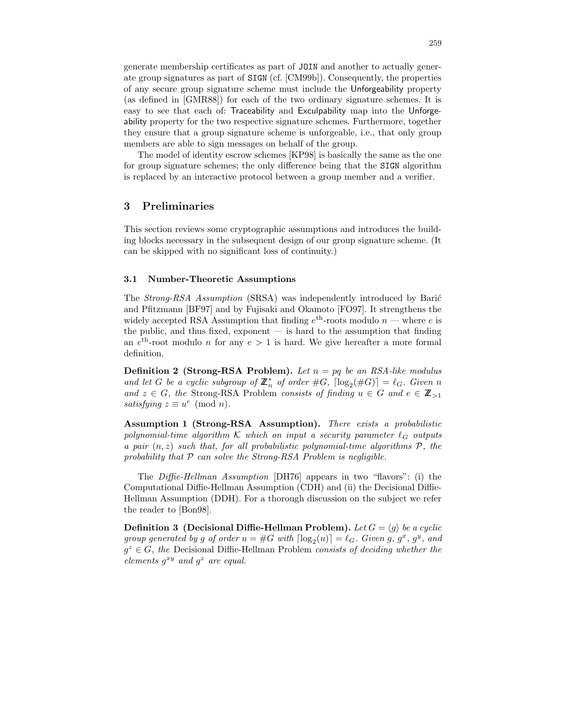generate membership certificates as part of JOIN and another to actually generate group signatures as part of SIGN (cf. [CM99b]). Consequently, the properties of any secure group signature scheme must include the Unforgeability property (as defined in [GMR88]) for each of the two ordinary signature schemes. It is easy to see that each of: Traceability and Exculpability map into the Unforgeability property for the two respective signature schemes. Furthermore, together they ensure that a group signature scheme is unforgeable, i.e., that only group members are able to sign messages on behalf of the group.

The model of identity escrow schemes [KP98] is basically the same as the one for group signature schemes; the only difference being that the SIGN algorithm is replaced by an interactive protocol between a group member and a verifier.

### 3 Preliminaries

This section reviews some cryptographic assumptions and introduces the building blocks necessary in the subsequent design of our group signature scheme. (It can be skipped with no significant loss of continuity.)

#### 3.1 Number-Theoretic Assumptions

The *Strong-RSA Assumption* (SRSA) was independently introduced by Barić and Pfitzmann [BF97] and by Fujisaki and Okamoto [FO97]. It strengthens the widely accepted RSA Assumption that finding  $e^{\text{th}}$ -roots modulo  $n$  — where e is the public, and thus fixed, exponent  $\overline{\phantom{a}}$  is hard to the assumption that finding an  $e^{\text{th}}$ -root modulo *n* for any  $e > 1$  is hard. We give hereafter a more formal definition.

**Definition 2 (Strong-RSA Problem).** Let  $n = pq$  be an RSA-like modulus and let G be a cyclic subgroup of  $\mathbb{Z}_n^*$  of order  $\#G$ ,  $\lceil \log_2(\#G) \rceil = \ell_G$ . Given n and  $z \in G$ , the Strong-RSA Problem consists of finding  $u \in G$  and  $e \in \mathbb{Z}_{\geq 1}$ satisfying  $z \equiv u^e \pmod{n}$ .

Assumption 1 (Strong-RSA Assumption). There exists a probabilistic polynomial-time algorithm K which on input a security parameter  $\ell_G$  outputs a pair  $(n, z)$  such that, for all probabilistic polynomial-time algorithms  $\mathcal{P}$ , the probability that  $P$  can solve the Strong-RSA Problem is negligible.

The Diffie-Hellman Assumption [DH76] appears in two "flavors": (i) the Computational Diffie-Hellman Assumption (CDH) and (ii) the Decisional Diffie-Hellman Assumption (DDH). For a thorough discussion on the subject we refer the reader to [Bon98].

**Definition 3** (Decisional Diffie-Hellman Problem). Let  $G = \langle q \rangle$  be a cyclic group generated by g of order  $u = \#G$  with  $\lceil \log_2(u) \rceil = \ell_G$ . Given g,  $g^x$ ,  $g^y$ , and  $g^z \in G$ , the Decisional Diffie-Hellman Problem consists of deciding whether the elements  $g^{xy}$  and  $g^{z}$  are equal.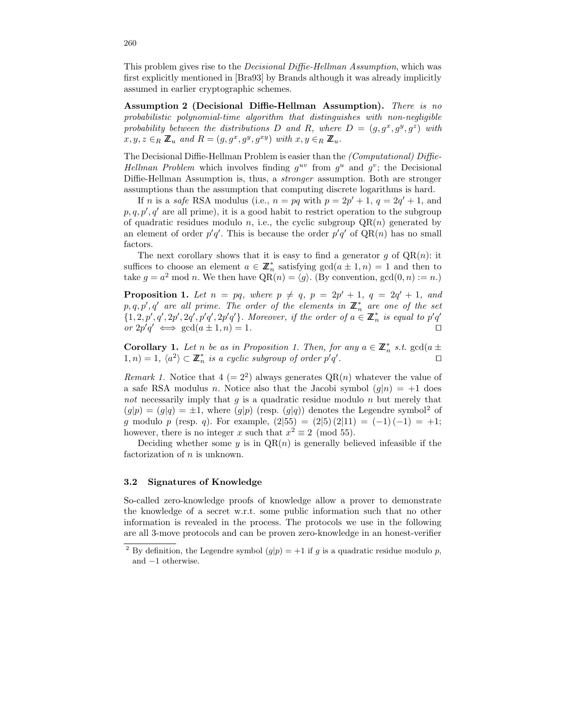This problem gives rise to the Decisional Diffie-Hellman Assumption, which was first explicitly mentioned in [Bra93] by Brands although it was already implicitly assumed in earlier cryptographic schemes.

Assumption 2 (Decisional Diffie-Hellman Assumption). There is no probabilistic polynomial-time algorithm that distinguishes with non-negligible probability between the distributions D and R, where  $D = (g, g^x, g^y, g^z)$  with  $x, y, z \in_R \mathbb{Z}_u$  and  $R = (g, g^x, g^y, g^{xy})$  with  $x, y \in_R \mathbb{Z}_u$ .

The Decisional Diffie-Hellman Problem is easier than the (Computational) Diffie-Hellman Problem which involves finding  $g^{uv}$  from  $g^u$  and  $g^v$ ; the Decisional Diffie-Hellman Assumption is, thus, a stronger assumption. Both are stronger assumptions than the assumption that computing discrete logarithms is hard.

If *n* is a safe RSA modulus (i.e.,  $n = pq$  with  $p = 2p' + 1$ ,  $q = 2q' + 1$ , and  $p, q, p', q'$  are all prime), it is a good habit to restrict operation to the subgroup of quadratic residues modulo n, i.e., the cyclic subgroup  $\mathrm{QR}(n)$  generated by an element of order  $p'q'$ . This is because the order  $p'q'$  of  $QR(n)$  has no small factors.

The next corollary shows that it is easy to find a generator  $g$  of  $QR(n)$ : it suffices to choose an element  $a \in \mathbb{Z}_n^*$  satisfying  $gcd(a \pm 1, n) = 1$  and then to take  $g = a^2 \mod n$ . We then have  $QR(n) = \langle g \rangle$ . (By convention,  $gcd(0, n) := n$ .)

**Proposition 1.** Let  $n = pq$ , where  $p \neq q$ ,  $p = 2p' + 1$ ,  $q = 2q' + 1$ , and  $p, q, p', q'$  are all prime. The order of the elements in  $\mathbb{Z}_n^*$  are one of the set  $\{1, 2, p', q', 2p', 2q', p'q', 2p'q'\}.$  Moreover, if the order of  $a \in \mathbb{Z}_n^*$  is equal to  $p'q'$ or  $2p'q' \iff \gcd(a \pm 1, n) = 1.$ 

**Corollary 1.** Let n be as in Proposition 1. Then, for any  $a \in \mathbb{Z}_n^*$  s.t.  $gcd(a \pm \frac{1}{n})$  $(1, n) = 1, \langle a^2 \rangle \subset \mathbb{Z}_n^*$  is a cyclic subgroup of order  $p'q'$ . The contract of  $\Box$ 

*Remark 1*. Notice that  $4 (= 2^2)$  always generates  $QR(n)$  whatever the value of a safe RSA modulus *n*. Notice also that the Jacobi symbol  $(q|n) = +1$  does not necessarily imply that  $g$  is a quadratic residue modulo  $n$  but merely that  $(g|p) = (g|q) = \pm 1$ , where  $(g|p)$  (resp.  $(g|q)$ ) denotes the Legendre symbol<sup>2</sup> of g modulo p (resp. q). For example,  $(2|55) = (2|5)(2|11) = (-1)(-1) = +1;$ however, there is no integer x such that  $x^2 \equiv 2 \pmod{55}$ .

Deciding whether some y is in  $\mathbb{Q}R(n)$  is generally believed infeasible if the factorization of  $n$  is unknown.

#### 3.2 Signatures of Knowledge

So-called zero-knowledge proofs of knowledge allow a prover to demonstrate the knowledge of a secret w.r.t. some public information such that no other information is revealed in the process. The protocols we use in the following are all 3-move protocols and can be proven zero-knowledge in an honest-verifier

<sup>&</sup>lt;sup>2</sup> By definition, the Legendre symbol  $(g|p) = +1$  if g is a quadratic residue modulo p, and −1 otherwise.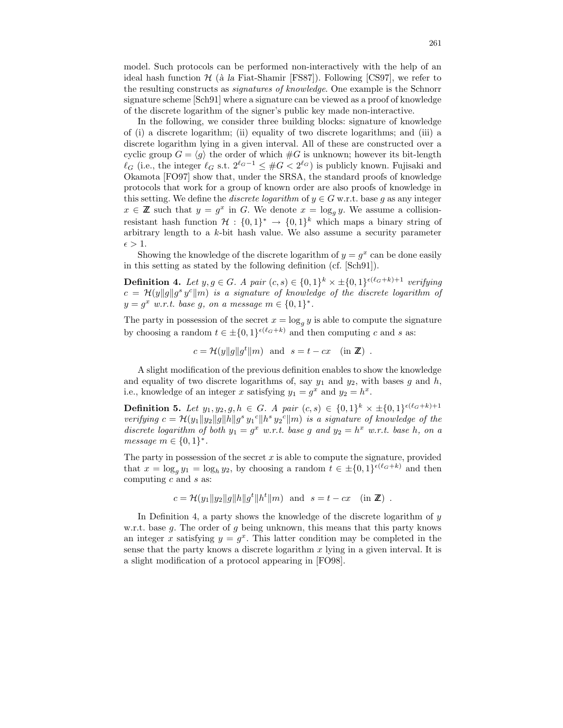model. Such protocols can be performed non-interactively with the help of an ideal hash function  $H$  (à la Fiat-Shamir [FS87]). Following [CS97], we refer to the resulting constructs as signatures of knowledge. One example is the Schnorr signature scheme [Sch91] where a signature can be viewed as a proof of knowledge of the discrete logarithm of the signer's public key made non-interactive.

In the following, we consider three building blocks: signature of knowledge of (i) a discrete logarithm; (ii) equality of two discrete logarithms; and (iii) a discrete logarithm lying in a given interval. All of these are constructed over a cyclic group  $G = \langle g \rangle$  the order of which  $\#G$  is unknown; however its bit-length  $\ell_G$  (i.e., the integer  $\ell_G$  s.t.  $2^{\ell_G-1} \leq \#G < 2^{\ell_G}$ ) is publicly known. Fujisaki and Okamota [FO97] show that, under the SRSA, the standard proofs of knowledge protocols that work for a group of known order are also proofs of knowledge in this setting. We define the *discrete logarithm* of  $y \in G$  w.r.t. base q as any integer  $x \in \mathbb{Z}$  such that  $y = g^x$  in G. We denote  $x = \log_g y$ . We assume a collisionresistant hash function  $\mathcal{H} : \{0,1\}^* \to \{0,1\}^k$  which maps a binary string of arbitrary length to a k-bit hash value. We also assume a security parameter  $\epsilon > 1$ .

Showing the knowledge of the discrete logarithm of  $y = g^x$  can be done easily in this setting as stated by the following definition (cf. [Sch91]).

**Definition 4.** Let  $y, g \in G$ . A pair  $(c, s) \in \{0, 1\}^k \times \pm \{0, 1\}^{\epsilon(\ell_G + k) + 1}$  verifying  $c = \mathcal{H}(y||g||g^s y^c||m)$  is a signature of knowledge of the discrete logarithm of  $y = g^x$  w.r.t. base g, on a message  $m \in \{0,1\}^*$ .

The party in possession of the secret  $x = \log_q y$  is able to compute the signature by choosing a random  $t \in \pm \{0,1\}^{\epsilon(\ell_G+k)}$  and then computing c and s as:

$$
c = \mathcal{H}(y||g||g^t||m)
$$
 and  $s = t - cx$  (in **Z**) .

A slight modification of the previous definition enables to show the knowledge and equality of two discrete logarithms of, say  $y_1$  and  $y_2$ , with bases g and h, i.e., knowledge of an integer x satisfying  $y_1 = g^x$  and  $y_2 = h^x$ .

**Definition 5.** Let  $y_1, y_2, g, h \in G$ . A pair  $(c, s) \in \{0, 1\}^k \times \pm \{0, 1\}^{\epsilon(\ell_G + k) + 1}$ verifying  $c = \mathcal{H}(y_1 \|y_2\|g\|h\|g^s y_1^c \|h^s y_2^c \|m)$  is a signature of knowledge of the discrete logarithm of both  $y_1 = g^x$  w.r.t. base g and  $y_2 = h^x$  w.r.t. base h, on a  $message \space m \in \{0,1\}^*$ .

The party in possession of the secret  $x$  is able to compute the signature, provided that  $x = \log_g y_1 = \log_h y_2$ , by choosing a random  $t \in \pm \{0,1\}^{\epsilon(\ell_G+k)}$  and then computing  $c$  and  $s$  as:

$$
c = \mathcal{H}(y_1 \|y_2\|g\|h\|g^t\|h^t\|m) \text{ and } s = t - cx \text{ (in } \mathbb{Z} \text{)}.
$$

In Definition 4, a party shows the knowledge of the discrete logarithm of  $y$ w.r.t. base  $q$ . The order of  $q$  being unknown, this means that this party knows an integer x satisfying  $y = g^x$ . This latter condition may be completed in the sense that the party knows a discrete logarithm  $x$  lying in a given interval. It is a slight modification of a protocol appearing in [FO98].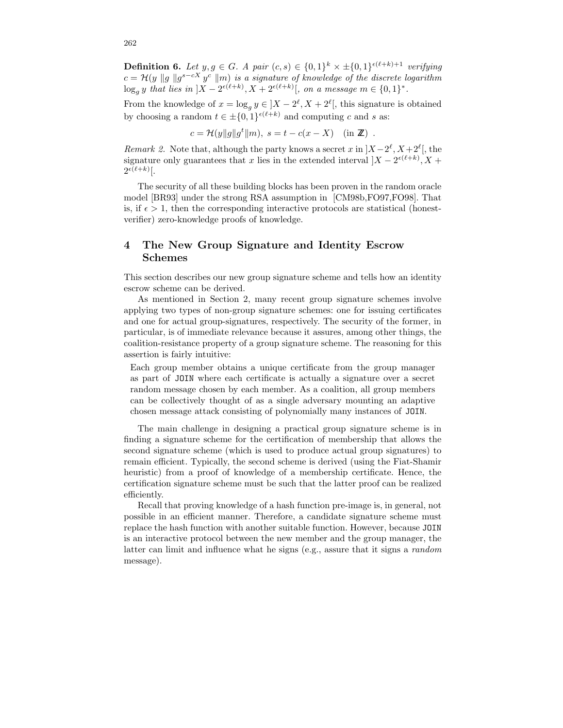**Definition 6.** Let  $y, g \in G$ . A pair  $(c, s) \in \{0, 1\}^k \times \pm \{0, 1\}^{\epsilon(\ell + k) + 1}$  verifying  $c = \mathcal{H}(y \t{||} g \t{||} g^{s-cX} y^c \t{||} m)$  is a signature of knowledge of the discrete logarithm  $\log_g y$  that lies in  $]X - 2^{\epsilon(\ell+k)}, X + 2^{\epsilon(\ell+k)}[$ , on a message  $m \in \{0,1\}^*$ .

From the knowledge of  $x = \log_g y \in ]X - 2^{\ell}, X + 2^{\ell}],$  this signature is obtained by choosing a random  $t \in \pm \{0,1\}^{\epsilon(\ell+k)}$  and computing c and s as:

 $c = \mathcal{H}(y||g||g^t||m), s = t - c(x - X)$  (in **Z**).

Remark 2. Note that, although the party knows a secret x in  $X-2^{\ell}, X+2^{\ell}$ , the signature only guarantees that x lies in the extended interval  $X - 2^{\epsilon(\ell+k)}$ ,  $X +$  $2^{\epsilon(\ell+k)}$ [.

The security of all these building blocks has been proven in the random oracle model [BR93] under the strong RSA assumption in [CM98b,FO97,FO98]. That is, if  $\epsilon > 1$ , then the corresponding interactive protocols are statistical (honestverifier) zero-knowledge proofs of knowledge.

# 4 The New Group Signature and Identity Escrow Schemes

This section describes our new group signature scheme and tells how an identity escrow scheme can be derived.

As mentioned in Section 2, many recent group signature schemes involve applying two types of non-group signature schemes: one for issuing certificates and one for actual group-signatures, respectively. The security of the former, in particular, is of immediate relevance because it assures, among other things, the coalition-resistance property of a group signature scheme. The reasoning for this assertion is fairly intuitive:

Each group member obtains a unique certificate from the group manager as part of JOIN where each certificate is actually a signature over a secret random message chosen by each member. As a coalition, all group members can be collectively thought of as a single adversary mounting an adaptive chosen message attack consisting of polynomially many instances of JOIN.

The main challenge in designing a practical group signature scheme is in finding a signature scheme for the certification of membership that allows the second signature scheme (which is used to produce actual group signatures) to remain efficient. Typically, the second scheme is derived (using the Fiat-Shamir heuristic) from a proof of knowledge of a membership certificate. Hence, the certification signature scheme must be such that the latter proof can be realized efficiently.

Recall that proving knowledge of a hash function pre-image is, in general, not possible in an efficient manner. Therefore, a candidate signature scheme must replace the hash function with another suitable function. However, because JOIN is an interactive protocol between the new member and the group manager, the latter can limit and influence what he signs (e.g., assure that it signs a random message).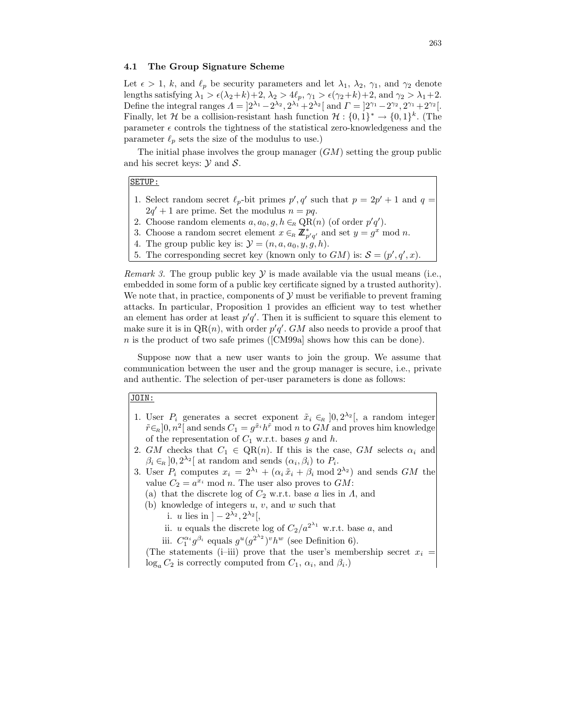#### 4.1 The Group Signature Scheme

Let  $\epsilon > 1$ , k, and  $\ell_p$  be security parameters and let  $\lambda_1$ ,  $\lambda_2$ ,  $\gamma_1$ , and  $\gamma_2$  denote lengths satisfying  $\lambda_1 > \epsilon(\lambda_2 + k) + 2$ ,  $\lambda_2 > 4\ell_p$ ,  $\gamma_1 > \epsilon(\gamma_2 + k) + 2$ , and  $\gamma_2 > \lambda_1 + 2$ . Define the integral ranges  $\Lambda = [2^{\lambda_1} - 2^{\lambda_2}, 2^{\lambda_1} + 2^{\lambda_2}]$  and  $\Gamma = [2^{\gamma_1} - 2^{\gamma_2}, 2^{\gamma_1} + 2^{\gamma_2}]$ . Finally, let H be a collision-resistant hash function  $\mathcal{H}: \{0,1\}^* \to \{0,1\}^k$ . (The parameter  $\epsilon$  controls the tightness of the statistical zero-knowledgeness and the parameter  $\ell_p$  sets the size of the modulus to use.)

The initial phase involves the group manager  $(GM)$  setting the group public and his secret keys:  $\mathcal Y$  and  $\mathcal S$ .

### SETUP:

- 1. Select random secret  $\ell_p$ -bit primes  $p', q'$  such that  $p = 2p' + 1$  and  $q =$  $2q' + 1$  are prime. Set the modulus  $n = pq$ .
- 2. Choose random elements  $a, a_0, g, h \in_R \mathbb{Q}R(n)$  (of order  $p'q'$ ).
- 3. Choose a random secret element  $x \in_R \mathbb{Z}_{p'q'}^*$  and set  $y = g^x \mod n$ .
- 4. The group public key is:  $\mathcal{Y} = (n, a, a_0, y, g, h)$ .
- 5. The corresponding secret key (known only to  $GM$ ) is:  $S = (p', q', x)$ .

*Remark 3.* The group public key  $\mathcal{Y}$  is made available via the usual means (i.e., embedded in some form of a public key certificate signed by a trusted authority). We note that, in practice, components of  $\mathcal Y$  must be verifiable to prevent framing attacks. In particular, Proposition 1 provides an efficient way to test whether an element has order at least  $p'q'$ . Then it is sufficient to square this element to make sure it is in  $QR(n)$ , with order  $p'q'$ . GM also needs to provide a proof that n is the product of two safe primes ([CM99a] shows how this can be done).

Suppose now that a new user wants to join the group. We assume that communication between the user and the group manager is secure, i.e., private and authentic. The selection of per-user parameters is done as follows:

#### JOIN:

- 1. User  $P_i$  generates a secret exponent  $\tilde{x}_i \in_R ]0, 2^{\lambda_2} [$ , a random integer  $\tilde{r} \in \mathbb{R} \vert 0, n^2 \vert$  and sends  $C_1 = g^{\tilde{x}_i} h^{\tilde{r}}$  mod n to  $GM$  and proves him knowledge of the representation of  $C_1$  w.r.t. bases g and h.
- 2. GM checks that  $C_1 \in QR(n)$ . If this is the case, GM selects  $\alpha_i$  and  $\beta_i \in_R ]0, 2^{\lambda_2} [$  at random and sends  $(\alpha_i, \beta_i)$  to  $P_i$ .
- 3. User  $P_i$  computes  $x_i = 2^{\lambda_1} + (\alpha_i \tilde{x}_i + \beta_i \text{ mod } 2^{\lambda_2})$  and sends GM the value  $C_2 = a^{x_i} \mod n$ . The user also proves to  $GM$ :
	- (a) that the discrete log of  $C_2$  w.r.t. base a lies in  $\Lambda$ , and
	- (b) knowledge of integers  $u, v$ , and  $w$  such that
		- i. u lies in  $]-2^{\lambda_2}, 2^{\lambda_2}$ ,
		- ii. *u* equals the discrete log of  $C_2/a^{2^{\lambda_1}}$  w.r.t. base *a*, and
		- iii.  $C_1^{\alpha_i} g^{\beta_i}$  equals  $g^u(g^{2^{\lambda_2}})^v h^w$  (see Definition 6).

(The statements (i–iii) prove that the user's membership secret  $x_i$  =  $log_a C_2$  is correctly computed from  $C_1$ ,  $\alpha_i$ , and  $\beta_i$ .)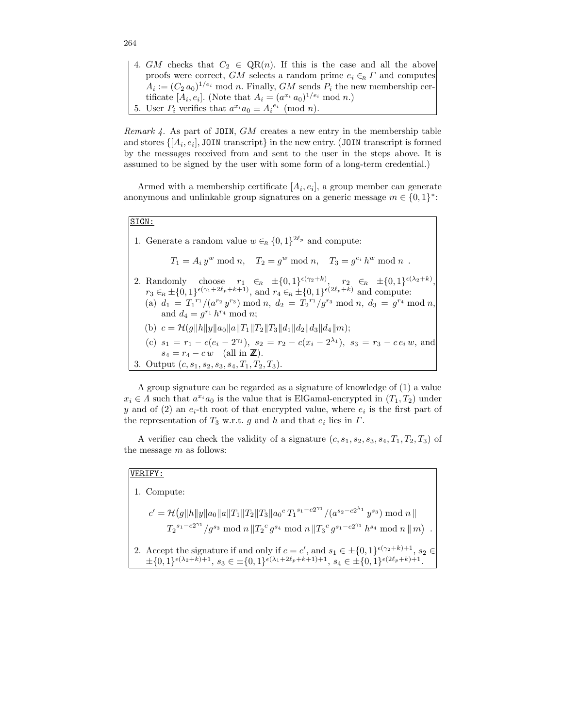4. GM checks that  $C_2 \in QR(n)$ . If this is the case and all the above proofs were correct,  $GM$  selects a random prime  $e_i \in_R \Gamma$  and computes  $A_i := (C_2 a_0)^{1/e_i}$  mod *n*. Finally, *GM* sends  $P_i$  the new membership certificate [ $A_i, e_i$ ]. (Note that  $A_i = (a^{x_i} a_0)^{1/e_i} \mod n$ .) 5. User  $P_i$  verifies that  $a^{x_i} a_0 \equiv A_i^{e_i} \pmod{n}$ .

Remark 4. As part of JOIN, GM creates a new entry in the membership table and stores  $\{[A_i, e_i],$  JOIN transcript $\}$  in the new entry. (JOIN transcript is formed by the messages received from and sent to the user in the steps above. It is assumed to be signed by the user with some form of a long-term credential.)

Armed with a membership certificate  $[A_i, e_i]$ , a group member can generate anonymous and unlinkable group signatures on a generic message  $m \in \{0,1\}^*$ :

### SIGN:

1. Generate a random value  $w \in_R \{0,1\}^{2\ell_p}$  and compute:  $T_1 = A_i y^w \bmod n$ ,  $T_2 = g^w \bmod n$ ,  $T_3 = g^{e_i} h^w \bmod n$ . 2. Randomly choose  $r_1 \in_R \pm \{0,1\}^{\epsilon(\gamma_2+k)}$ ,  $r_2 \in_R \pm \{0,1\}^{\epsilon(\lambda_2+k)}$ ,  $r_3 \in_R \pm \{0,1\}^{\epsilon(\gamma_1+2\ell_p+k+1)}$ , and  $r_4 \in_R \pm \{0,1\}^{\epsilon(2\ell_p+k)}$  and compute: (a)  $d_1 = T_1^{r_1}/(a^{r_2} y^{r_3}) \bmod n$ ,  $d_2 = T_2^{r_1}/g^{r_3} \bmod n$ ,  $d_3 = g^{r_4} \bmod n$ , and  $d_4 = g^{r_1} h^{r_4} \text{ mod } n;$ (b)  $c = \mathcal{H}(g||h||y||a_0||a||T_1||T_2||T_3||d_1||d_2||d_3||d_4||m);$ (c)  $s_1 = r_1 - c(e_i - 2^{\gamma_1}), s_2 = r_2 - c(x_i - 2^{\lambda_1}), s_3 = r_3 - c e_i w,$  and  $s_4 = r_4 - cw$  (all in  $\mathbb{Z}$ ). 3. Output  $(c, s_1, s_2, s_3, s_4, T_1, T_2, T_3)$ .

A group signature can be regarded as a signature of knowledge of (1) a value  $x_i \in A$  such that  $a^{x_i} a_0$  is the value that is ElGamal-encrypted in  $(T_1, T_2)$  under y and of (2) an  $e_i$ -th root of that encrypted value, where  $e_i$  is the first part of the representation of  $T_3$  w.r.t. g and h and that  $e_i$  lies in  $\Gamma$ .

A verifier can check the validity of a signature  $(c, s_1, s_2, s_3, s_4, T_1, T_2, T_3)$  of the message  $m$  as follows:

#### VERIFY:

1. Compute:

$$
c' = \mathcal{H}(g||h||y||a_0||a||T_1||T_2||T_3||a_0{}^c T_1{}^{s_1-c2^{\gamma_1}}/(a^{s_2-c2^{\lambda_1}} y^{s_3}) \bmod n ||
$$
  

$$
T_2{}^{s_1-c2^{\gamma_1}}/g^{s_3} \bmod n ||T_2{}^c g^{s_4} \bmod n ||T_3{}^c g^{s_1-c2^{\gamma_1}} h^{s_4} \bmod n || m) .
$$

2. Accept the signature if and only if  $c = c'$ , and  $s_1 \in \pm \{0,1\}^{\epsilon(\gamma_2 + k) + 1}$ ,  $s_2 \in$  $\pm \{0,1\}^{\epsilon(\lambda_2+k)+1}, s_3 \in \pm \{0,1\}^{\epsilon(\lambda_1+2\ell_p+k+1)+1}, s_4 \in \pm \{0,1\}^{\epsilon(2\ell_p+k)+1}.$ 

264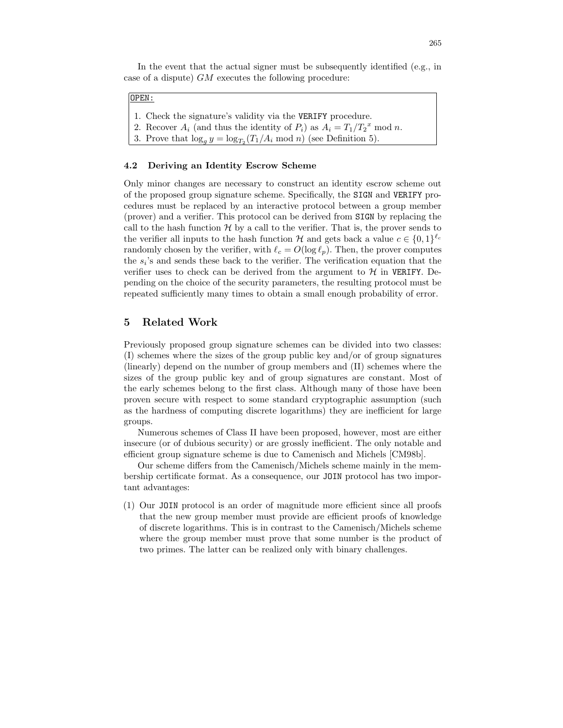OPEN:

- 1. Check the signature's validity via the VERIFY procedure.
- 2. Recover  $A_i$  (and thus the identity of  $P_i$ ) as  $A_i = T_1/T_2^x \mod n$ .
- 3. Prove that  $\log_g y = \log_{T_2}(T_1/A_i \text{ mod } n)$  (see Definition 5).

#### 4.2 Deriving an Identity Escrow Scheme

Only minor changes are necessary to construct an identity escrow scheme out of the proposed group signature scheme. Specifically, the SIGN and VERIFY procedures must be replaced by an interactive protocol between a group member (prover) and a verifier. This protocol can be derived from SIGN by replacing the call to the hash function  $H$  by a call to the verifier. That is, the prover sends to the verifier all inputs to the hash function H and gets back a value  $c \in \{0,1\}^{\ell_c}$ randomly chosen by the verifier, with  $\ell_c = O(\log \ell_p)$ . Then, the prover computes the  $s_i$ 's and sends these back to the verifier. The verification equation that the verifier uses to check can be derived from the argument to  $\mathcal H$  in VERIFY. Depending on the choice of the security parameters, the resulting protocol must be repeated sufficiently many times to obtain a small enough probability of error.

### 5 Related Work

Previously proposed group signature schemes can be divided into two classes: (I) schemes where the sizes of the group public key and/or of group signatures (linearly) depend on the number of group members and (II) schemes where the sizes of the group public key and of group signatures are constant. Most of the early schemes belong to the first class. Although many of those have been proven secure with respect to some standard cryptographic assumption (such as the hardness of computing discrete logarithms) they are inefficient for large groups.

Numerous schemes of Class II have been proposed, however, most are either insecure (or of dubious security) or are grossly inefficient. The only notable and efficient group signature scheme is due to Camenisch and Michels [CM98b].

Our scheme differs from the Camenisch/Michels scheme mainly in the membership certificate format. As a consequence, our JOIN protocol has two important advantages:

(1) Our JOIN protocol is an order of magnitude more efficient since all proofs that the new group member must provide are efficient proofs of knowledge of discrete logarithms. This is in contrast to the Camenisch/Michels scheme where the group member must prove that some number is the product of two primes. The latter can be realized only with binary challenges.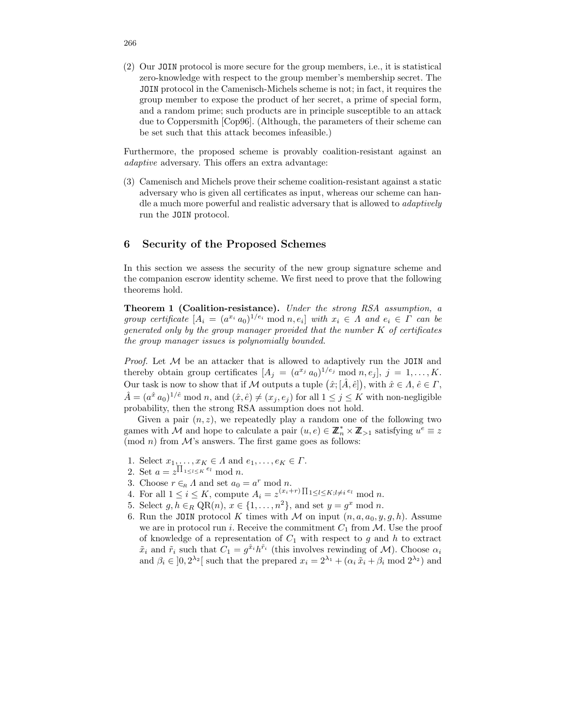(2) Our JOIN protocol is more secure for the group members, i.e., it is statistical zero-knowledge with respect to the group member's membership secret. The JOIN protocol in the Camenisch-Michels scheme is not; in fact, it requires the group member to expose the product of her secret, a prime of special form, and a random prime; such products are in principle susceptible to an attack due to Coppersmith [Cop96]. (Although, the parameters of their scheme can be set such that this attack becomes infeasible.)

Furthermore, the proposed scheme is provably coalition-resistant against an adaptive adversary. This offers an extra advantage:

(3) Camenisch and Michels prove their scheme coalition-resistant against a static adversary who is given all certificates as input, whereas our scheme can handle a much more powerful and realistic adversary that is allowed to adaptively run the JOIN protocol.

### 6 Security of the Proposed Schemes

In this section we assess the security of the new group signature scheme and the companion escrow identity scheme. We first need to prove that the following theorems hold.

Theorem 1 (Coalition-resistance). Under the strong RSA assumption, a group certificate  $[A_i = (a^{x_i} a_0)^{1/e_i} \text{ mod } n, e_i]$  with  $x_i \in \Lambda$  and  $e_i \in \Gamma$  can be generated only by the group manager provided that the number  $K$  of certificates the group manager issues is polynomially bounded.

*Proof.* Let  $M$  be an attacker that is allowed to adaptively run the JOIN and thereby obtain group certificates  $[A_j = (a^{x_j} a_0)^{1/e_j} \mod n, e_j], j = 1, ..., K$ . Our task is now to show that if M outputs a tuple  $(\hat{x}; [\hat{A}, \hat{e}])$ , with  $\hat{x} \in A$ ,  $\hat{e} \in \Gamma$ ,  $\hat{A} = (a^{\hat{x}} a_0)^{1/\hat{e}} \text{ mod } n$ , and  $(\hat{x}, \hat{e}) \neq (x_j, e_j)$  for all  $1 \leq j \leq K$  with non-negligible probability, then the strong RSA assumption does not hold.

Given a pair  $(n, z)$ , we repeatedly play a random one of the following two games with M and hope to calculate a pair  $(u, e) \in \mathbb{Z}_n^* \times \mathbb{Z}_{>1}$  satisfying  $u^e \equiv z$  $\pmod{n}$  from M's answers. The first game goes as follows:

- 1. Select  $x_1, \ldots, x_K \in \Lambda$  and  $e_1, \ldots, e_K \in \Gamma$ .
- 2. Set  $a = z^{\prod_{1 \leq l \leq K} e_l} \mod n$ .
- 3. Choose  $r \in_R \Lambda$  and set  $a_0 = a^r \bmod n$ .
- 4. For all  $1 \leq i \leq K$ , compute  $A_i = z^{(x_i+r)} \prod_{1 \leq l \leq K; l \neq i} e_l \mod n$ .
- 5. Select  $g, h \in_R \mathbb{Q}R(n), x \in \{1, ..., n^2\}$ , and set  $y = g^x \mod n$ .
- 6. Run the JOIN protocol K times with M on input  $(n, a, a_0, y, g, h)$ . Assume we are in protocol run i. Receive the commitment  $C_1$  from  $M$ . Use the proof of knowledge of a representation of  $C_1$  with respect to g and h to extract  $\tilde{x}_i$  and  $\tilde{r}_i$  such that  $C_1 = g^{\tilde{x}_i} h^{\tilde{r}_i}$  (this involves rewinding of M). Choose  $\alpha_i$ and  $\beta_i \in ]0, 2^{\lambda_2}[\text{ such that the prepared } x_i = 2^{\lambda_1} + (\alpha_i \tilde{x}_i + \beta_i \text{ mod } 2^{\lambda_2}) \text{ and }$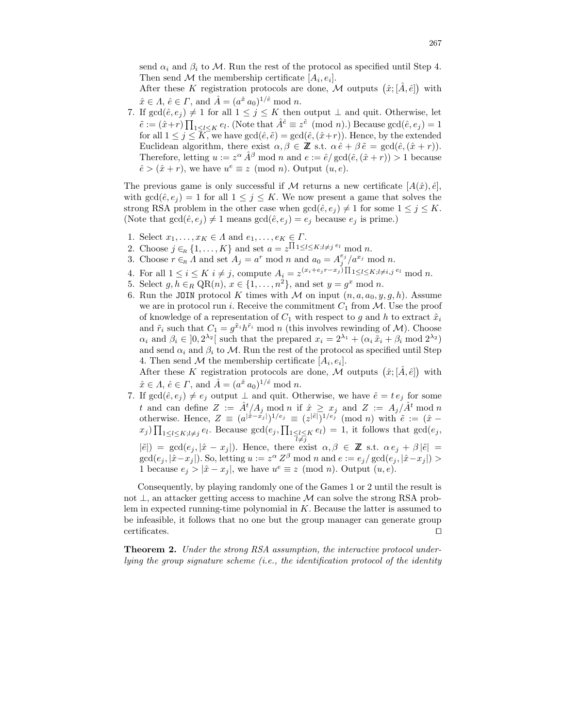send  $\alpha_i$  and  $\beta_i$  to M. Run the rest of the protocol as specified until Step 4. Then send M the membership certificate  $[A_i, e_i]$ .

After these K registration protocols are done, M outputs  $(\hat{x}; [\hat{A}, \hat{e}])$  with  $\hat{x} \in \Lambda$ ,  $\hat{e} \in \Gamma$ , and  $\hat{A} = (a^{\hat{x}} a_0)^{1/\hat{e}}$  mod n.

7. If  $gcd(\hat{e}, e_j) \neq 1$  for all  $1 \leq j \leq K$  then output  $\perp$  and quit. Otherwise, let  $\tilde{e} := (\hat{x}+r) \prod_{1 \leq l \leq K} e_l$ . (Note that  $\hat{A}^{\hat{e}} \equiv z^{\tilde{e}} \pmod{n}$ .) Because  $\gcd(\hat{e}, e_j) = 1$ for all  $1 \leq j \leq \overline{K}$ , we have  $gcd(\hat{e}, \tilde{e}) = gcd(\hat{e}, (\hat{x}+r))$ . Hence, by the extended Euclidean algorithm, there exist  $\alpha, \beta \in \mathbb{Z}$  s.t.  $\alpha \hat{e} + \beta \tilde{e} = \text{gcd}(\hat{e}, (\hat{x} + r)).$ Therefore, letting  $u := z^{\alpha} \hat{A}^{\beta}$  mod n and  $e := \hat{e}/\text{gcd}(\hat{e}, (\hat{x} + r)) > 1$  because  $\hat{e} > (\hat{x} + r)$ , we have  $u^e \equiv z \pmod{n}$ . Output  $(u, e)$ .

The previous game is only successful if M returns a new certificate  $[A(\hat{x}), \hat{e}]$ , with  $gcd(\hat{e}, e_i) = 1$  for all  $1 \leq j \leq K$ . We now present a game that solves the strong RSA problem in the other case when  $gcd(\hat{e}, e_i) \neq 1$  for some  $1 \leq j \leq K$ . (Note that  $gcd(\hat{e}, e_j) \neq 1$  means  $gcd(\hat{e}, e_j) = e_j$  because  $e_j$  is prime.)

- 1. Select  $x_1, \ldots, x_K \in \Lambda$  and  $e_1, \ldots, e_K \in \Gamma$ .
- 2. Choose  $j \in_R \{1, \ldots, K\}$  and set  $a = z^{\prod_{1 \leq l \leq K; l \neq j} e_l} \mod n$ .
- 3. Choose  $r \in_R \Lambda$  and set  $A_j = a^r \mod n$  and  $a_0 = A_j^{e_j}/a^{x_j} \mod n$ .
- 4. For all  $1 \leq i \leq K$   $i \neq j$ , compute  $A_i = z^{(x_i + e_j r x_j) \prod_{1 \leq l \leq K; l \neq i, j} e_l} \mod n$ .
- 5. Select  $g, h \in_R \mathbb{Q}R(n), x \in \{1, ..., n^2\}$ , and set  $y = g^x \mod n$ .
- 6. Run the JOIN protocol K times with M on input  $(n, a, a_0, y, g, h)$ . Assume we are in protocol run i. Receive the commitment  $C_1$  from  $M$ . Use the proof of knowledge of a representation of  $C_1$  with respect to g and h to extract  $\tilde{x}_i$ and  $\tilde{r}_i$  such that  $C_1 = g^{\tilde{x}_i} h^{\tilde{r}_i}$  mod n (this involves rewinding of  $\mathcal{M}$ ). Choose  $\alpha_i$  and  $\beta_i \in ]0,2^{\lambda_2}[\text{ such that the prepared } x_i = 2^{\lambda_1} + (\alpha_i \tilde{x}_i + \beta_i \text{ mod } 2^{\lambda_2})]$ and send  $\alpha_i$  and  $\beta_i$  to M. Run the rest of the protocol as specified until Step 4. Then send  $\mathcal M$  the membership certificate  $[A_i, e_i]$ .

After these K registration protocols are done,  $\widetilde{\mathcal{M}}$  outputs  $(\hat{x}; [\hat{A}, \hat{e}])$  with  $\hat{x} \in \Lambda$ ,  $\hat{e} \in \Gamma$ , and  $\hat{A} = (a^{\hat{x}} a_0)^{1/\hat{e}} \text{ mod } n$ .

- 7. If  $gcd(\hat{e}, e_j) \neq e_j$  output  $\perp$  and quit. Otherwise, we have  $\hat{e} = t e_j$  for some t and can define  $Z := \hat{A}^t / A_j \text{ mod } n$  if  $\hat{x} \geq x_j$  and  $Z := A_j / \hat{A}^t \text{ mod } n$ otherwise. Hence,  $Z \equiv (a^{|\hat{x}-x_j|})^{1/e_j} \equiv (z^{|\tilde{e}|})^{1/e_j} \pmod{n}$  with  $\tilde{e} := (\hat{x}-\hat{e})^{1/e_j}$  $(x_j) \prod_{1 \leq l \leq K; l \neq j} e_l$ . Because  $gcd(e_j, \prod_{\substack{1 \leq l \leq K \ l \neq j}} e_l) = 1$ , it follows that  $gcd(e_j, \prod_{\substack{l \leq l \leq K \ l \neq j}} e_l)$ 
	- $|\tilde{e}|$ ) = gcd $(e_j, |\hat{x} x_j|)$ . Hence, there exist  $\alpha, \beta \in \mathbb{Z}$  s.t.  $\alpha e_j + \beta |\tilde{e}|$  =  $gcd(e_j, |\hat{x}-x_j|)$ . So, letting  $u := z^{\alpha} Z^{\beta} \mod n$  and  $e := e_j / gcd(e_j, |\hat{x}-x_j|) >$ 1 because  $e_j > |\hat{x} - x_j|$ , we have  $u^e \equiv z \pmod{n}$ . Output  $(u, e)$ .

Consequently, by playing randomly one of the Games 1 or 2 until the result is not  $\perp$ , an attacker getting access to machine M can solve the strong RSA problem in expected running-time polynomial in  $K$ . Because the latter is assumed to be infeasible, it follows that no one but the group manager can generate group certificates.  $\Box$ 

**Theorem 2.** Under the strong RSA assumption, the interactive protocol underlying the group signature scheme (i.e., the identification protocol of the identity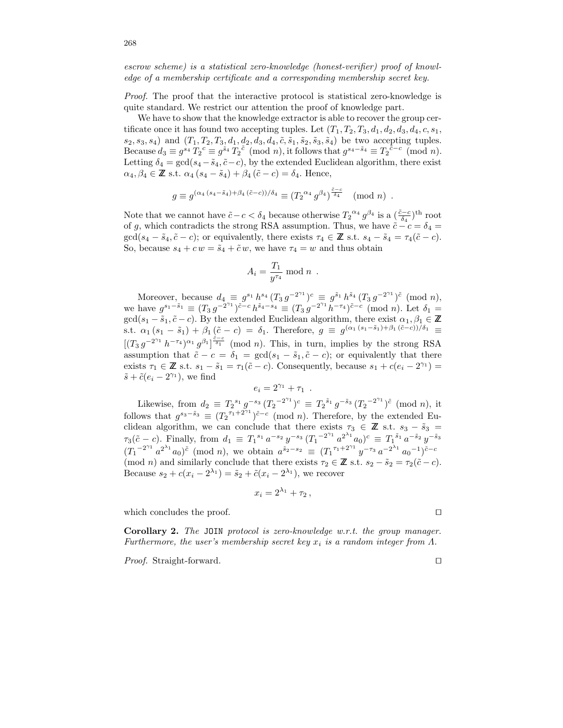escrow scheme) is a statistical zero-knowledge (honest-verifier) proof of knowledge of a membership certificate and a corresponding membership secret key.

Proof. The proof that the interactive protocol is statistical zero-knowledge is quite standard. We restrict our attention the proof of knowledge part.

We have to show that the knowledge extractor is able to recover the group certificate once it has found two accepting tuples. Let  $(T_1, T_2, T_3, d_1, d_2, d_3, d_4, c, s_1,$  $s_2, s_3, s_4$ ) and  $(T_1, T_2, T_3, d_1, d_2, d_3, d_4, \tilde{c}, \tilde{s}_1, \tilde{s}_2, \tilde{s}_3, \tilde{s}_4)$  be two accepting tuples. Because  $d_3 \equiv g^{s_4} T_2^c \equiv g^{s_4} T_2^c \pmod{n}$ , it follows that  $g^{s_4-\tilde{s}_4} \equiv T_2^{\tilde{c}-c} \pmod{n}$ . Letting  $\delta_4 = \gcd(s_4 - \tilde{s}_4, \tilde{c} - c)$ , by the extended Euclidean algorithm, there exist  $\alpha_4, \beta_4 \in \mathbb{Z}$  s.t.  $\alpha_4$   $(s_4 - \tilde{s}_4) + \beta_4$   $(\tilde{c} - c) = \delta_4$ . Hence,

$$
g \equiv g^{(\alpha_4(s_4-\tilde{s}_4)+\beta_4(\tilde{c}-c))/\delta_4} \equiv (T_2^{\alpha_4} g^{\beta_4})^{\frac{\tilde{c}-c}{\delta_4}} \pmod{n} .
$$

Note that we cannot have  $\tilde{c} - c < \delta_4$  because otherwise  $T_2^{\alpha_4} g^{\beta_4}$  is a  $(\frac{\tilde{c} - c}{\delta_4})$ <sup>th</sup> root of g, which contradicts the strong RSA assumption. Thus, we have  $\tilde{c} - c = \delta_4 =$  $gcd(s_4 - \tilde{s}_4, \tilde{c} - c);$  or equivalently, there exists  $\tau_4 \in \mathbb{Z}$  s.t.  $s_4 - \tilde{s}_4 = \tau_4(\tilde{c} - c).$ So, because  $s_4 + c w = \tilde{s}_4 + \tilde{c} w$ , we have  $\tau_4 = w$  and thus obtain

$$
A_i = \frac{T_1}{y^{\tau_4}} \bmod n .
$$

Moreover, because  $d_4 \equiv g^{s_1} h^{s_4} (T_3 g^{-2^{\gamma_1}})^c \equiv g^{\tilde{s}_1} h^{\tilde{s}_4} (T_3 g^{-2^{\gamma_1}})^{\tilde{c}} \pmod{n}$ , we have  $g^{s_1-\tilde{s}_1} \equiv (T_3 g^{-2\gamma_1})^{\tilde{c}-c} h^{\tilde{s}_4-\tilde{s}_4} \equiv (T_3 g^{-2\gamma_1} h^{-\tau_4})^{\tilde{c}-c}$  (mod *n*). Let  $\delta_1 =$  $gcd(s_1 - \tilde{s}_1, \tilde{c} - c)$ . By the extended Euclidean algorithm, there exist  $\alpha_1, \beta_1 \in \mathbb{Z}$ s.t.  $\alpha_1 (s_1 - \tilde{s}_1) + \beta_1 (\tilde{c} - c) = \delta_1$ . Therefore,  $g \equiv g^{(\alpha_1 (s_1 - \tilde{s}_1) + \beta_1 (\tilde{c} - c))/\delta_1}$  $[(T_3 g^{-2\gamma_1} h^{-\tau_4})^{\alpha_1} g^{\beta_1}]^{\frac{\tilde{c}-c}{\tilde{\delta}_1}}$  (mod *n*). This, in turn, implies by the strong RSA assumption that  $\tilde{c} - c = \delta_1 = \gcd(s_1 - \tilde{s}_1, \tilde{c} - c)$ ; or equivalently that there exists  $\tau_1 \in \mathbb{Z}$  s.t.  $s_1 - \tilde{s}_1 = \tau_1(\tilde{c} - c)$ . Consequently, because  $s_1 + c(e_i - 2^{\gamma_1}) =$  $\tilde{s} + \tilde{c}(e_i - 2^{\gamma_1}),$  we find

$$
e_i=2^{\gamma_1}+\tau_1.
$$

Likewise, from  $d_2 \equiv T_2^{s_1} g^{-s_3} (T_2^{-2^{\gamma_1}})^c \equiv T_2^{\tilde{s}_1} g^{-\tilde{s}_3} (T_2^{-2^{\gamma_1}})^{\tilde{c}} \pmod{n}$ , it follows that  $g^{s_3-\tilde{s}_3} \equiv (T_2^{\tau_1+2\tilde{\gamma}_1})^{\tilde{c}-c}$  (mod *n*). Therefore, by the extended Euclidean algorithm, we can conclude that there exists  $\tau_3 \in \mathbb{Z}$  s.t.  $s_3 - \tilde{s}_3 =$  $\tau_3(\tilde{c}-c)$ . Finally, from  $d_1 \equiv T_1^{s_1} a^{-s_2} y^{-s_3} (T_1^{-2^{\gamma_1}} a^{2^{\lambda_1}} a_0)^c \equiv T_1^{s_1} a^{-s_2} y^{-s_3}$  $(T_1^{-2^{\gamma_1}} a^{2^{\lambda_1}} a_0)^{\tilde{c}}$  (mod n), we obtain  $a^{\tilde{s}_2-s_2} \equiv (T_1^{\tau_1+2^{\gamma_1}} y^{-\tau_3} a^{-2^{\lambda_1}} a_0^{-1})^{\tilde{c}-c}$ (mod *n*) and similarly conclude that there exists  $\tau_2 \in \mathbb{Z}$  s.t.  $s_2 - \tilde{s}_2 = \tau_2(\tilde{c} - c)$ . Because  $s_2 + c(x_i - 2^{\lambda_1}) = \tilde{s}_2 + \tilde{c}(x_i - 2^{\lambda_1})$ , we recover

$$
x_i = 2^{\lambda_1} + \tau_2 \,,
$$

which concludes the proof.  $\Box$ 

Corollary 2. The JOIN protocol is zero-knowledge w.r.t. the group manager. Furthermore, the user's membership secret key  $x_i$  is a random integer from  $\Lambda$ .

*Proof.* Straight-forward.  $\square$ 

$$
f_{\rm{max}}
$$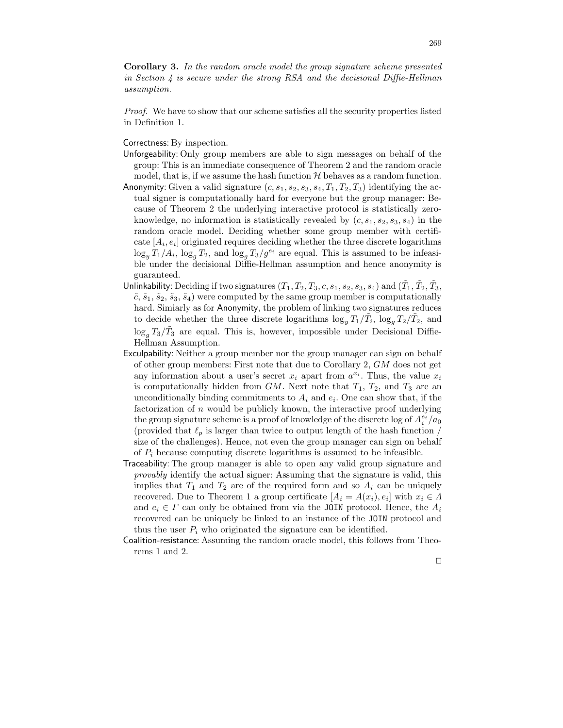Corollary 3. In the random oracle model the group signature scheme presented in Section 4 is secure under the strong RSA and the decisional Diffie-Hellman assumption.

Proof. We have to show that our scheme satisfies all the security properties listed in Definition 1.

Correctness: By inspection.

- Unforgeability: Only group members are able to sign messages on behalf of the group: This is an immediate consequence of Theorem 2 and the random oracle model, that is, if we assume the hash function  $H$  behaves as a random function.
- Anonymity: Given a valid signature  $(c, s_1, s_2, s_3, s_4, T_1, T_2, T_3)$  identifying the actual signer is computationally hard for everyone but the group manager: Because of Theorem 2 the underlying interactive protocol is statistically zeroknowledge, no information is statistically revealed by  $(c, s_1, s_2, s_3, s_4)$  in the random oracle model. Deciding whether some group member with certificate  $[A_i, e_i]$  originated requires deciding whether the three discrete logarithms  $\log_g T_1/A_i$ ,  $\log_g T_2$ , and  $\log_g T_3/g^{e_i}$  are equal. This is assumed to be infeasible under the decisional Diffie-Hellman assumption and hence anonymity is guaranteed.
- Unlinkability: Deciding if two signatures  $(T_1,T_2,T_3,c,s_1,s_2,s_3,s_4)$  and  $(\tilde{T_1},\tilde{T_2},\tilde{T_3},$  $\tilde{c}, \tilde{s}_1, \tilde{s}_2, \tilde{s}_3, \tilde{s}_4$ ) were computed by the same group member is computationally hard. Simiarly as for Anonymity, the problem of linking two signatures reduces to decide whether the three discrete logarithms  $\log_y T_1/\tilde{T}_i$ ,  $\log_g T_2/\tilde{T}_2$ , and  $\log_g T_3/\tilde{T}_3$  are equal. This is, however, impossible under Decisional Diffie-Hellman Assumption.
- Exculpability: Neither a group member nor the group manager can sign on behalf of other group members: First note that due to Corollary 2, GM does not get any information about a user's secret  $x_i$  apart from  $a^{x_i}$ . Thus, the value  $x_i$ is computationally hidden from  $GM$ . Next note that  $T_1$ ,  $T_2$ , and  $T_3$  are an unconditionally binding commitments to  $A_i$  and  $e_i$ . One can show that, if the factorization of  $n$  would be publicly known, the interactive proof underlying the group signature scheme is a proof of knowledge of the discrete log of  $A_i^{e_i}/a_0$ (provided that  $\ell_p$  is larger than twice to output length of the hash function / size of the challenges). Hence, not even the group manager can sign on behalf of  $P_i$  because computing discrete logarithms is assumed to be infeasible.
- Traceability: The group manager is able to open any valid group signature and provably identify the actual signer: Assuming that the signature is valid, this implies that  $T_1$  and  $T_2$  are of the required form and so  $A_i$  can be uniquely recovered. Due to Theorem 1 a group certificate  $[A_i = A(x_i), e_i]$  with  $x_i \in A$ and  $e_i \in \Gamma$  can only be obtained from via the JOIN protocol. Hence, the  $A_i$ recovered can be uniquely be linked to an instance of the JOIN protocol and thus the user  $P_i$  who originated the signature can be identified.
- Coalition-resistance: Assuming the random oracle model, this follows from Theorems 1 and 2.  $\Box$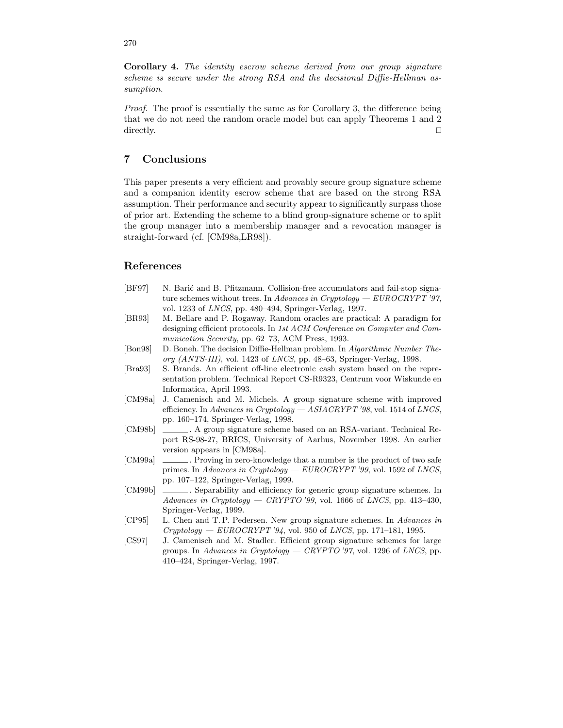Corollary 4. The identity escrow scheme derived from our group signature scheme is secure under the strong RSA and the decisional Diffie-Hellman assumption.

Proof. The proof is essentially the same as for Corollary 3, the difference being that we do not need the random oracle model but can apply Theorems 1 and 2 directly.  $\Box$ 

# 7 Conclusions

This paper presents a very efficient and provably secure group signature scheme and a companion identity escrow scheme that are based on the strong RSA assumption. Their performance and security appear to significantly surpass those of prior art. Extending the scheme to a blind group-signature scheme or to split the group manager into a membership manager and a revocation manager is straight-forward (cf. [CM98a,LR98]).

### References

- [BF97] N. Barić and B. Pfitzmann. Collision-free accumulators and fail-stop signature schemes without trees. In Advances in Cryptology  $-EUROCRYPT'$ ?7, vol. 1233 of LNCS, pp. 480–494, Springer-Verlag, 1997.
- [BR93] M. Bellare and P. Rogaway. Random oracles are practical: A paradigm for designing efficient protocols. In 1st ACM Conference on Computer and Communication Security, pp. 62–73, ACM Press, 1993.
- [Bon98] D. Boneh. The decision Diffie-Hellman problem. In Algorithmic Number The $ory (ANTS-III)$ , vol. 1423 of  $LNCS$ , pp. 48–63, Springer-Verlag, 1998.
- [Bra93] S. Brands. An efficient off-line electronic cash system based on the representation problem. Technical Report CS-R9323, Centrum voor Wiskunde en Informatica, April 1993.
- [CM98a] J. Camenisch and M. Michels. A group signature scheme with improved efficiency. In Advances in Cryptology  $-$  ASIACRYPT '98, vol. 1514 of LNCS, pp. 160–174, Springer-Verlag, 1998.
- [CM98b] . A group signature scheme based on an RSA-variant. Technical Report RS-98-27, BRICS, University of Aarhus, November 1998. An earlier version appears in [CM98a].
- [CM99a] . Proving in zero-knowledge that a number is the product of two safe primes. In Advances in Cryptology  $-EUROCRYPT'99$ , vol. 1592 of LNCS, pp. 107–122, Springer-Verlag, 1999.
- [CM99b] . Separability and efficiency for generic group signature schemes. In Advances in Cryptology  $-$  CRYPTO '99, vol. 1666 of LNCS, pp. 413-430, Springer-Verlag, 1999.
- [CP95] L. Chen and T.P. Pedersen. New group signature schemes. In Advances in  $Cryptology - EUROCRYPT'94$ , vol. 950 of *LNCS*, pp. 171–181, 1995.
- [CS97] J. Camenisch and M. Stadler. Efficient group signature schemes for large groups. In Advances in Cryptology — CRYPTO '97, vol. 1296 of LNCS, pp. 410–424, Springer-Verlag, 1997.